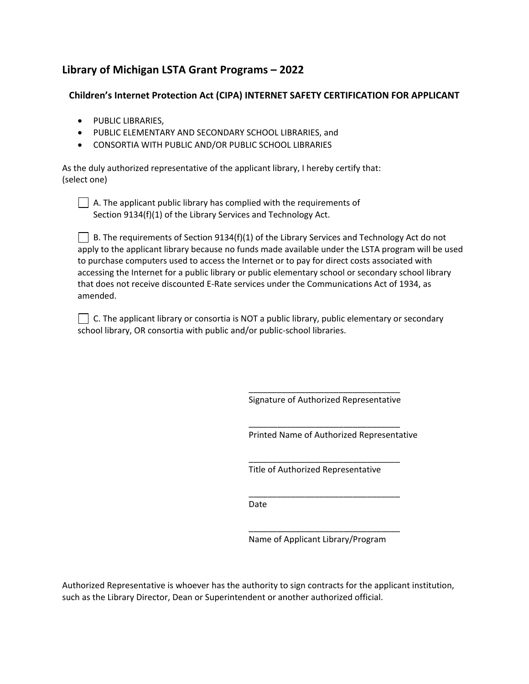# **Library of Michigan LSTA Grant Programs – 2022**

# **Children's Internet Protection Act (CIPA) INTERNET SAFETY CERTIFICATION FOR APPLICANT**

- PUBLIC LIBRARIES,
- PUBLIC ELEMENTARY AND SECONDARY SCHOOL LIBRARIES, and
- CONSORTIA WITH PUBLIC AND/OR PUBLIC SCHOOL LIBRARIES

As the duly authorized representative of the applicant library, I hereby certify that: (select one)

 $\Box$  A. The applicant public library has complied with the requirements of Section 9134(f)(1) of the Library Services and Technology Act.

B. The requirements of Section 9134(f)(1) of the Library Services and Technology Act do not apply to the applicant library because no funds made available under the LSTA program will be used to purchase computers used to access the Internet or to pay for direct costs associated with accessing the Internet for a public library or public elementary school or secondary school library that does not receive discounted E-Rate services under the Communications Act of 1934, as amended.

| $\Box$ C. The applicant library or consortia is NOT a public library, public elementary or secondary |
|------------------------------------------------------------------------------------------------------|
| school library, OR consortia with public and/or public-school libraries.                             |

\_\_\_\_\_\_\_\_\_\_\_\_\_\_\_\_\_\_\_\_\_\_\_\_\_\_\_\_\_\_\_\_ Signature of Authorized Representative

\_\_\_\_\_\_\_\_\_\_\_\_\_\_\_\_\_\_\_\_\_\_\_\_\_\_\_\_\_\_\_\_

\_\_\_\_\_\_\_\_\_\_\_\_\_\_\_\_\_\_\_\_\_\_\_\_\_\_\_\_\_\_\_\_

\_\_\_\_\_\_\_\_\_\_\_\_\_\_\_\_\_\_\_\_\_\_\_\_\_\_\_\_\_\_\_\_

Printed Name of Authorized Representative

Title of Authorized Representative

Date

\_\_\_\_\_\_\_\_\_\_\_\_\_\_\_\_\_\_\_\_\_\_\_\_\_\_\_\_\_\_\_\_ Name of Applicant Library/Program

Authorized Representative is whoever has the authority to sign contracts for the applicant institution, such as the Library Director, Dean or Superintendent or another authorized official.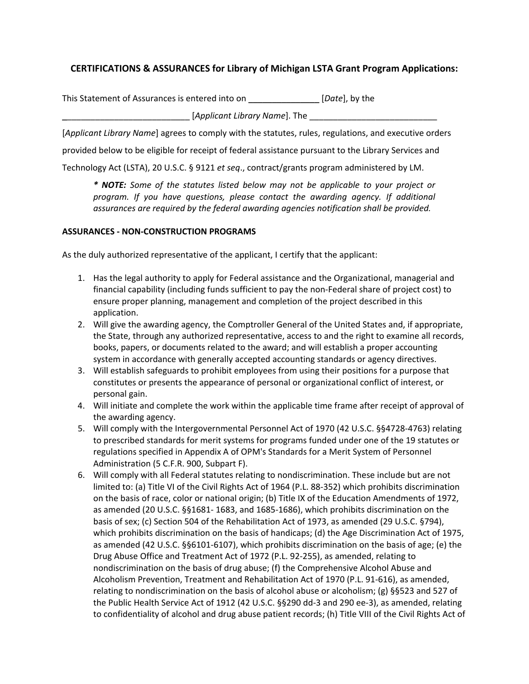# **CERTIFICATIONS & ASSURANCES for Library of Michigan LSTA Grant Program Applications:**

This Statement of Assurances is entered into on \_\_\_\_\_\_\_\_\_\_\_\_\_\_\_ [*Date*], by the

[Applicant Library Name]. The

[*Applicant Library Name*] agrees to comply with the statutes, rules, regulations, and executive orders

provided below to be eligible for receipt of federal assistance pursuant to the Library Services and

Technology Act (LSTA), 20 U.S.C. § 9121 *et seq*., contract/grants program administered by LM.

*\* NOTE: Some of the statutes listed below may not be applicable to your project or program. If you have questions, please contact the awarding agency. If additional assurances are required by the federal awarding agencies notification shall be provided.*

## **ASSURANCES - NON-CONSTRUCTION PROGRAMS**

As the duly authorized representative of the applicant, I certify that the applicant:

- 1. Has the legal authority to apply for Federal assistance and the Organizational, managerial and financial capability (including funds sufficient to pay the non-Federal share of project cost) to ensure proper planning, management and completion of the project described in this application.
- 2. Will give the awarding agency, the Comptroller General of the United States and, if appropriate, the State, through any authorized representative, access to and the right to examine all records, books, papers, or documents related to the award; and will establish a proper accounting system in accordance with generally accepted accounting standards or agency directives.
- 3. Will establish safeguards to prohibit employees from using their positions for a purpose that constitutes or presents the appearance of personal or organizational conflict of interest, or personal gain.
- 4. Will initiate and complete the work within the applicable time frame after receipt of approval of the awarding agency.
- 5. Will comply with the Intergovernmental Personnel Act of 1970 (42 U.S.C. §§4728-4763) relating to prescribed standards for merit systems for programs funded under one of the 19 statutes or regulations specified in Appendix A of OPM's Standards for a Merit System of Personnel Administration (5 C.F.R. 900, Subpart F).
- 6. Will comply with all Federal statutes relating to nondiscrimination. These include but are not limited to: (a) Title VI of the Civil Rights Act of 1964 (P.L. 88-352) which prohibits discrimination on the basis of race, color or national origin; (b) Title IX of the Education Amendments of 1972, as amended (20 U.S.C. §§1681- 1683, and 1685-1686), which prohibits discrimination on the basis of sex; (c) Section 504 of the Rehabilitation Act of 1973, as amended (29 U.S.C. §794), which prohibits discrimination on the basis of handicaps; (d) the Age Discrimination Act of 1975, as amended (42 U.S.C. §§6101-6107), which prohibits discrimination on the basis of age; (e) the Drug Abuse Office and Treatment Act of 1972 (P.L. 92-255), as amended, relating to nondiscrimination on the basis of drug abuse; (f) the Comprehensive Alcohol Abuse and Alcoholism Prevention, Treatment and Rehabilitation Act of 1970 (P.L. 91-616), as amended, relating to nondiscrimination on the basis of alcohol abuse or alcoholism; (g) §§523 and 527 of the Public Health Service Act of 1912 (42 U.S.C. §§290 dd-3 and 290 ee-3), as amended, relating to confidentiality of alcohol and drug abuse patient records; (h) Title VIII of the Civil Rights Act of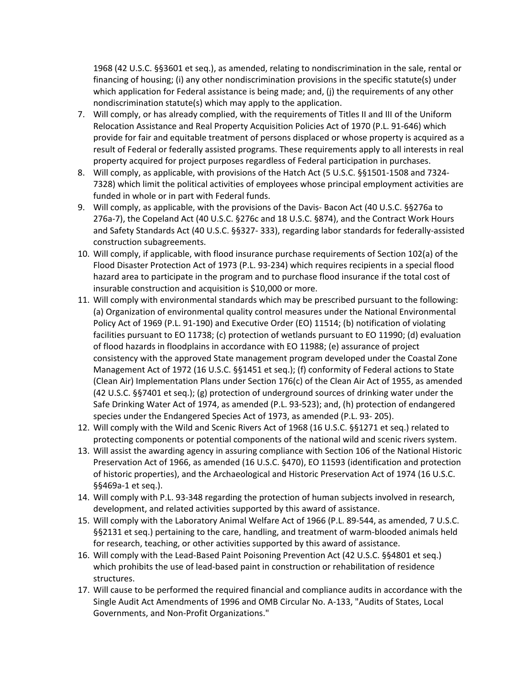1968 (42 U.S.C. §§3601 et seq.), as amended, relating to nondiscrimination in the sale, rental or financing of housing; (i) any other nondiscrimination provisions in the specific statute(s) under which application for Federal assistance is being made; and, (j) the requirements of any other nondiscrimination statute(s) which may apply to the application.

- 7. Will comply, or has already complied, with the requirements of Titles II and III of the Uniform Relocation Assistance and Real Property Acquisition Policies Act of 1970 (P.L. 91-646) which provide for fair and equitable treatment of persons displaced or whose property is acquired as a result of Federal or federally assisted programs. These requirements apply to all interests in real property acquired for project purposes regardless of Federal participation in purchases.
- 8. Will comply, as applicable, with provisions of the Hatch Act (5 U.S.C. §§1501-1508 and 7324- 7328) which limit the political activities of employees whose principal employment activities are funded in whole or in part with Federal funds.
- 9. Will comply, as applicable, with the provisions of the Davis- Bacon Act (40 U.S.C. §§276a to 276a-7), the Copeland Act (40 U.S.C. §276c and 18 U.S.C. §874), and the Contract Work Hours and Safety Standards Act (40 U.S.C. §§327- 333), regarding labor standards for federally-assisted construction subagreements.
- 10. Will comply, if applicable, with flood insurance purchase requirements of Section 102(a) of the Flood Disaster Protection Act of 1973 (P.L. 93-234) which requires recipients in a special flood hazard area to participate in the program and to purchase flood insurance if the total cost of insurable construction and acquisition is \$10,000 or more.
- 11. Will comply with environmental standards which may be prescribed pursuant to the following: (a) Organization of environmental quality control measures under the National Environmental Policy Act of 1969 (P.L. 91-190) and Executive Order (EO) 11514; (b) notification of violating facilities pursuant to EO 11738; (c) protection of wetlands pursuant to EO 11990; (d) evaluation of flood hazards in floodplains in accordance with EO 11988; (e) assurance of project consistency with the approved State management program developed under the Coastal Zone Management Act of 1972 (16 U.S.C. §§1451 et seq.); (f) conformity of Federal actions to State (Clean Air) Implementation Plans under Section 176(c) of the Clean Air Act of 1955, as amended (42 U.S.C. §§7401 et seq.); (g) protection of underground sources of drinking water under the Safe Drinking Water Act of 1974, as amended (P.L. 93-523); and, (h) protection of endangered species under the Endangered Species Act of 1973, as amended (P.L. 93- 205).
- 12. Will comply with the Wild and Scenic Rivers Act of 1968 (16 U.S.C. §§1271 et seq.) related to protecting components or potential components of the national wild and scenic rivers system.
- 13. Will assist the awarding agency in assuring compliance with Section 106 of the National Historic Preservation Act of 1966, as amended (16 U.S.C. §470), EO 11593 (identification and protection of historic properties), and the Archaeological and Historic Preservation Act of 1974 (16 U.S.C. §§469a-1 et seq.).
- 14. Will comply with P.L. 93-348 regarding the protection of human subjects involved in research, development, and related activities supported by this award of assistance.
- 15. Will comply with the Laboratory Animal Welfare Act of 1966 (P.L. 89-544, as amended, 7 U.S.C. §§2131 et seq.) pertaining to the care, handling, and treatment of warm-blooded animals held for research, teaching, or other activities supported by this award of assistance.
- 16. Will comply with the Lead-Based Paint Poisoning Prevention Act (42 U.S.C. §§4801 et seq.) which prohibits the use of lead-based paint in construction or rehabilitation of residence structures.
- 17. Will cause to be performed the required financial and compliance audits in accordance with the Single Audit Act Amendments of 1996 and OMB Circular No. A-133, "Audits of States, Local Governments, and Non-Profit Organizations."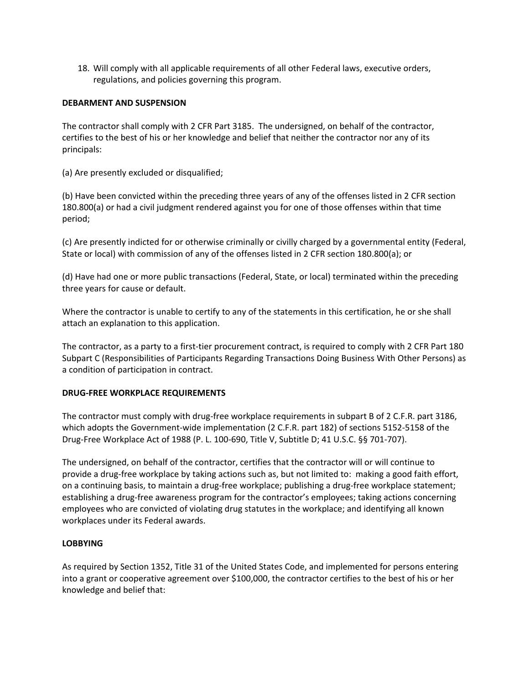18. Will comply with all applicable requirements of all other Federal laws, executive orders, regulations, and policies governing this program.

#### **DEBARMENT AND SUSPENSION**

The contractor shall comply with 2 CFR Part 3185. The undersigned, on behalf of the contractor, certifies to the best of his or her knowledge and belief that neither the contractor nor any of its principals:

(a) Are presently excluded or disqualified;

(b) Have been convicted within the preceding three years of any of the offenses listed in 2 CFR section 180.800(a) or had a civil judgment rendered against you for one of those offenses within that time period;

(c) Are presently indicted for or otherwise criminally or civilly charged by a governmental entity (Federal, State or local) with commission of any of the offenses listed in 2 CFR section 180.800(a); or

(d) Have had one or more public transactions (Federal, State, or local) terminated within the preceding three years for cause or default.

Where the contractor is unable to certify to any of the statements in this certification, he or she shall attach an explanation to this application.

The contractor, as a party to a first-tier procurement contract, is required to comply with 2 CFR Part 180 Subpart C (Responsibilities of Participants Regarding Transactions Doing Business With Other Persons) as a condition of participation in contract.

#### **DRUG-FREE WORKPLACE REQUIREMENTS**

The contractor must comply with drug-free workplace requirements in subpart B of 2 C.F.R. part 3186, which adopts the Government-wide implementation (2 C.F.R. part 182) of sections 5152-5158 of the Drug-Free Workplace Act of 1988 (P. L. 100-690, Title V, Subtitle D; 41 U.S.C. §§ 701-707).

The undersigned, on behalf of the contractor, certifies that the contractor will or will continue to provide a drug-free workplace by taking actions such as, but not limited to: making a good faith effort, on a continuing basis, to maintain a drug-free workplace; publishing a drug-free workplace statement; establishing a drug-free awareness program for the contractor's employees; taking actions concerning employees who are convicted of violating drug statutes in the workplace; and identifying all known workplaces under its Federal awards.

## **LOBBYING**

As required by Section 1352, Title 31 of the United States Code, and implemented for persons entering into a grant or cooperative agreement over \$100,000, the contractor certifies to the best of his or her knowledge and belief that: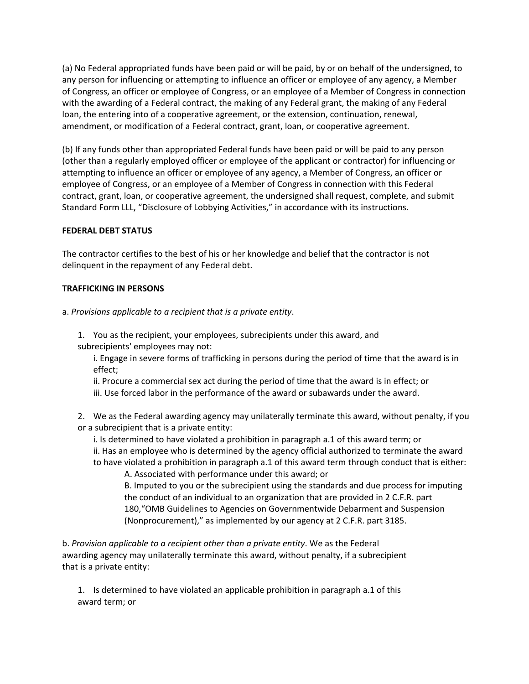(a) No Federal appropriated funds have been paid or will be paid, by or on behalf of the undersigned, to any person for influencing or attempting to influence an officer or employee of any agency, a Member of Congress, an officer or employee of Congress, or an employee of a Member of Congress in connection with the awarding of a Federal contract, the making of any Federal grant, the making of any Federal loan, the entering into of a cooperative agreement, or the extension, continuation, renewal, amendment, or modification of a Federal contract, grant, loan, or cooperative agreement.

(b) If any funds other than appropriated Federal funds have been paid or will be paid to any person (other than a regularly employed officer or employee of the applicant or contractor) for influencing or attempting to influence an officer or employee of any agency, a Member of Congress, an officer or employee of Congress, or an employee of a Member of Congress in connection with this Federal contract, grant, loan, or cooperative agreement, the undersigned shall request, complete, and submit Standard Form LLL, "Disclosure of Lobbying Activities," in accordance with its instructions.

# **FEDERAL DEBT STATUS**

The contractor certifies to the best of his or her knowledge and belief that the contractor is not delinquent in the repayment of any Federal debt.

## **TRAFFICKING IN PERSONS**

a. *Provisions applicable to a recipient that is a private entity*.

1. You as the recipient, your employees, subrecipients under this award, and subrecipients' employees may not:

i. Engage in severe forms of trafficking in persons during the period of time that the award is in effect;

ii. Procure a commercial sex act during the period of time that the award is in effect; or iii. Use forced labor in the performance of the award or subawards under the award.

2. We as the Federal awarding agency may unilaterally terminate this award, without penalty, if you or a subrecipient that is a private entity:

i. Is determined to have violated a prohibition in paragraph a.1 of this award term; or

ii. Has an employee who is determined by the agency official authorized to terminate the award to have violated a prohibition in paragraph a.1 of this award term through conduct that is either:

A. Associated with performance under this award; or B. Imputed to you or the subrecipient using the standards and due process for imputing the conduct of an individual to an organization that are provided in 2 C.F.R. part 180,"OMB Guidelines to Agencies on Governmentwide Debarment and Suspension (Nonprocurement)," as implemented by our agency at 2 C.F.R. part 3185.

b. *Provision applicable to a recipient other than a private entity*. We as the Federal awarding agency may unilaterally terminate this award, without penalty, if a subrecipient that is a private entity:

1. Is determined to have violated an applicable prohibition in paragraph a.1 of this award term; or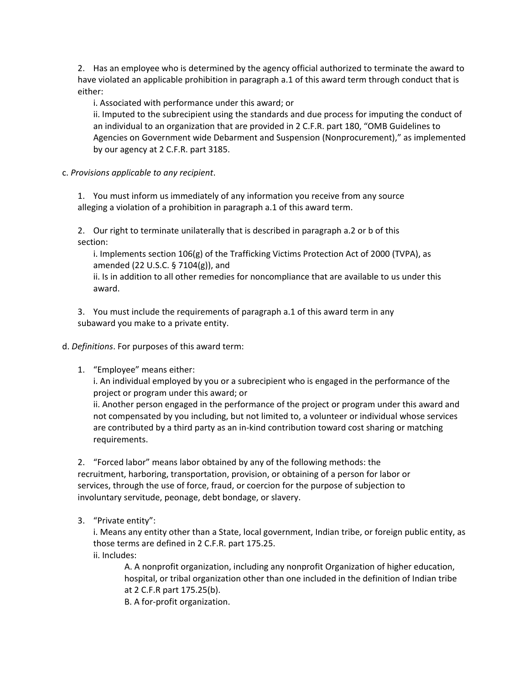2. Has an employee who is determined by the agency official authorized to terminate the award to have violated an applicable prohibition in paragraph a.1 of this award term through conduct that is either:

i. Associated with performance under this award; or

ii. Imputed to the subrecipient using the standards and due process for imputing the conduct of an individual to an organization that are provided in 2 C.F.R. part 180, "OMB Guidelines to Agencies on Government wide Debarment and Suspension (Nonprocurement)," as implemented by our agency at 2 C.F.R. part 3185.

c. *Provisions applicable to any recipient*.

1. You must inform us immediately of any information you receive from any source alleging a violation of a prohibition in paragraph a.1 of this award term.

2. Our right to terminate unilaterally that is described in paragraph a.2 or b of this section:

i. Implements section 106(g) of the Trafficking Victims Protection Act of 2000 (TVPA), as amended (22 U.S.C. § 7104(g)), and

ii. Is in addition to all other remedies for noncompliance that are available to us under this award.

3. You must include the requirements of paragraph a.1 of this award term in any subaward you make to a private entity.

d. *Definitions*. For purposes of this award term:

1. "Employee" means either:

i. An individual employed by you or a subrecipient who is engaged in the performance of the project or program under this award; or

ii. Another person engaged in the performance of the project or program under this award and not compensated by you including, but not limited to, a volunteer or individual whose services are contributed by a third party as an in-kind contribution toward cost sharing or matching requirements.

2. "Forced labor" means labor obtained by any of the following methods: the recruitment, harboring, transportation, provision, or obtaining of a person for labor or services, through the use of force, fraud, or coercion for the purpose of subjection to involuntary servitude, peonage, debt bondage, or slavery.

3. "Private entity":

i. Means any entity other than a State, local government, Indian tribe, or foreign public entity, as those terms are defined in 2 C.F.R. part 175.25. ii. Includes:

A. A nonprofit organization, including any nonprofit Organization of higher education, hospital, or tribal organization other than one included in the definition of Indian tribe at 2 C.F.R part 175.25(b).

B. A for-profit organization.